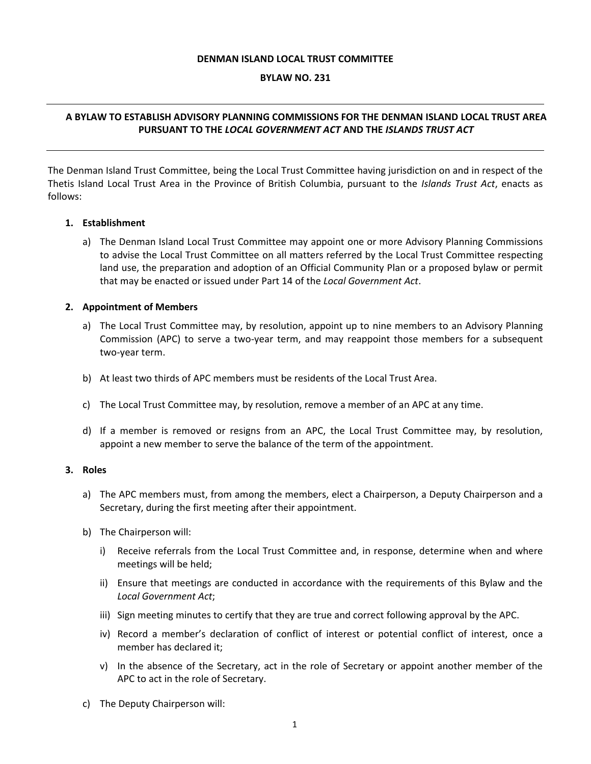#### **DENMAN ISLAND LOCAL TRUST COMMITTEE**

#### **BYLAW NO. 231**

# **A BYLAW TO ESTABLISH ADVISORY PLANNING COMMISSIONS FOR THE DENMAN ISLAND LOCAL TRUST AREA PURSUANT TO THE** *LOCAL GOVERNMENT ACT* **AND THE** *ISLANDS TRUST ACT*

The Denman Island Trust Committee, being the Local Trust Committee having jurisdiction on and in respect of the Thetis Island Local Trust Area in the Province of British Columbia, pursuant to the *Islands Trust Act*, enacts as follows:

#### **1. Establishment**

a) The Denman Island Local Trust Committee may appoint one or more Advisory Planning Commissions to advise the Local Trust Committee on all matters referred by the Local Trust Committee respecting land use, the preparation and adoption of an Official Community Plan or a proposed bylaw or permit that may be enacted or issued under Part 14 of the *Local Government Act*.

#### **2. Appointment of Members**

- a) The Local Trust Committee may, by resolution, appoint up to nine members to an Advisory Planning Commission (APC) to serve a two-year term, and may reappoint those members for a subsequent two-year term.
- b) At least two thirds of APC members must be residents of the Local Trust Area.
- c) The Local Trust Committee may, by resolution, remove a member of an APC at any time.
- d) If a member is removed or resigns from an APC, the Local Trust Committee may, by resolution, appoint a new member to serve the balance of the term of the appointment.

#### **3. Roles**

- a) The APC members must, from among the members, elect a Chairperson, a Deputy Chairperson and a Secretary, during the first meeting after their appointment.
- b) The Chairperson will:
	- i) Receive referrals from the Local Trust Committee and, in response, determine when and where meetings will be held;
	- ii) Ensure that meetings are conducted in accordance with the requirements of this Bylaw and the *Local Government Act*;
	- iii) Sign meeting minutes to certify that they are true and correct following approval by the APC.
	- iv) Record a member's declaration of conflict of interest or potential conflict of interest, once a member has declared it;
	- v) In the absence of the Secretary, act in the role of Secretary or appoint another member of the APC to act in the role of Secretary.
- c) The Deputy Chairperson will: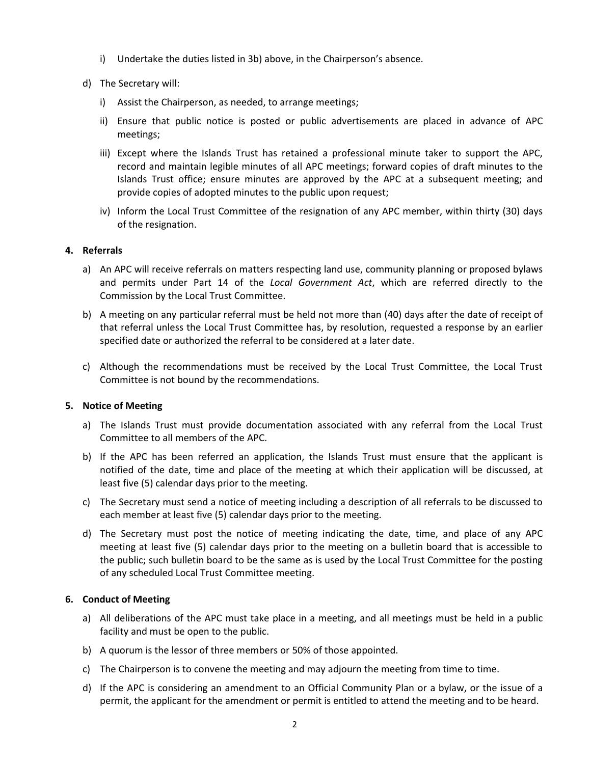- i) Undertake the duties listed in 3b) above, in the Chairperson's absence.
- d) The Secretary will:
	- i) Assist the Chairperson, as needed, to arrange meetings;
	- ii) Ensure that public notice is posted or public advertisements are placed in advance of APC meetings;
	- iii) Except where the Islands Trust has retained a professional minute taker to support the APC, record and maintain legible minutes of all APC meetings; forward copies of draft minutes to the Islands Trust office; ensure minutes are approved by the APC at a subsequent meeting; and provide copies of adopted minutes to the public upon request;
	- iv) Inform the Local Trust Committee of the resignation of any APC member, within thirty (30) days of the resignation.

## **4. Referrals**

- a) An APC will receive referrals on matters respecting land use, community planning or proposed bylaws and permits under Part 14 of the *Local Government Act*, which are referred directly to the Commission by the Local Trust Committee.
- b) A meeting on any particular referral must be held not more than (40) days after the date of receipt of that referral unless the Local Trust Committee has, by resolution, requested a response by an earlier specified date or authorized the referral to be considered at a later date.
- c) Although the recommendations must be received by the Local Trust Committee, the Local Trust Committee is not bound by the recommendations.

# **5. Notice of Meeting**

- a) The Islands Trust must provide documentation associated with any referral from the Local Trust Committee to all members of the APC.
- b) If the APC has been referred an application, the Islands Trust must ensure that the applicant is notified of the date, time and place of the meeting at which their application will be discussed, at least five (5) calendar days prior to the meeting.
- c) The Secretary must send a notice of meeting including a description of all referrals to be discussed to each member at least five (5) calendar days prior to the meeting.
- d) The Secretary must post the notice of meeting indicating the date, time, and place of any APC meeting at least five (5) calendar days prior to the meeting on a bulletin board that is accessible to the public; such bulletin board to be the same as is used by the Local Trust Committee for the posting of any scheduled Local Trust Committee meeting.

## **6. Conduct of Meeting**

- a) All deliberations of the APC must take place in a meeting, and all meetings must be held in a public facility and must be open to the public.
- b) A quorum is the lessor of three members or 50% of those appointed.
- c) The Chairperson is to convene the meeting and may adjourn the meeting from time to time.
- d) If the APC is considering an amendment to an Official Community Plan or a bylaw, or the issue of a permit, the applicant for the amendment or permit is entitled to attend the meeting and to be heard.